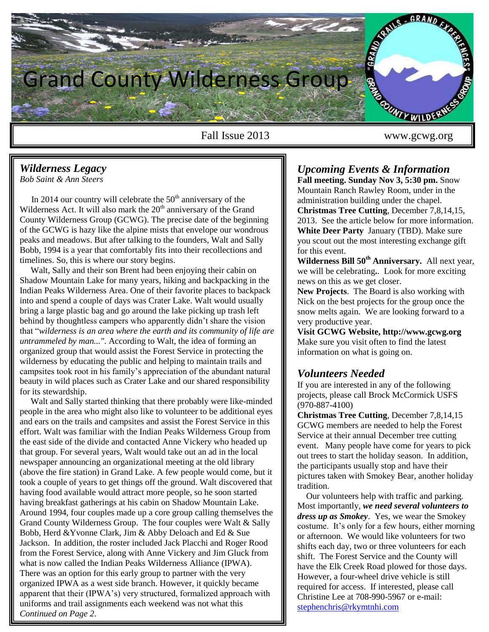

Eall Issue 2013 www.gcwg.org

# *Wilderness Legacy*

*Bob Saint & Ann Steers*

In 2014 our country will celebrate the  $50<sup>th</sup>$  anniversary of the Wilderness Act. It will also mark the  $20<sup>th</sup>$  anniversary of the Grand County Wilderness Group (GCWG). The precise date of the beginning of the GCWG is hazy like the alpine mists that envelope our wondrous peaks and meadows. But after talking to the founders, Walt and Sally Bobb, 1994 is a year that comfortably fits into their recollections and timelines. So, this is where our story begins.

 Walt, Sally and their son Brent had been enjoying their cabin on Shadow Mountain Lake for many years, hiking and backpacking in the Indian Peaks Wilderness Area. One of their favorite places to backpack into and spend a couple of days was Crater Lake. Walt would usually bring a large plastic bag and go around the lake picking up trash left behind by thoughtless campers who apparently didn't share the vision that "*wilderness is an area where the earth and its community of life are untrammeled by man..."*. According to Walt, the idea of forming an organized group that would assist the Forest Service in protecting the wilderness by educating the public and helping to maintain trails and campsites took root in his family's appreciation of the abundant natural beauty in wild places such as Crater Lake and our shared responsibility for its stewardship.

 Walt and Sally started thinking that there probably were like-minded people in the area who might also like to volunteer to be additional eyes and ears on the trails and campsites and assist the Forest Service in this effort. Walt was familiar with the Indian Peaks Wilderness Group from the east side of the divide and contacted Anne Vickery who headed up that group. For several years, Walt would take out an ad in the local newspaper announcing an organizational meeting at the old library (above the fire station) in Grand Lake. A few people would come, but it took a couple of years to get things off the ground. Walt discovered that having food available would attract more people, so he soon started having breakfast gatherings at his cabin on Shadow Mountain Lake. Around 1994, four couples made up a core group calling themselves the Grand County Wilderness Group. The four couples were Walt & Sally Bobb, Herd &Yvonne Clark, Jim & Abby Deloach and Ed & Sue Jackson. In addition, the roster included Jack Placchi and Roger Rood from the Forest Service, along with Anne Vickery and Jim Gluck from what is now called the Indian Peaks Wilderness Alliance (IPWA). There was an option for this early group to partner with the very organized IPWA as a west side branch. However, it quickly became apparent that their (IPWA's) very structured, formalized approach with uniforms and trail assignments each weekend was not what this *Continued on Page 2*.

# *Upcoming Events & Information*

**Fall meeting. Sunday Nov 3, 5:30 pm.** Snow Mountain Ranch Rawley Room, under in the administration building under the chapel. **Christmas Tree Cutting**, December 7,8,14,15, 2013. See the article below for more information. **White Deer Party** January (TBD). Make sure you scout out the most interesting exchange gift for this event.

**Wilderness Bill 50th Anniversary.** All next year, we will be celebrating**.**. Look for more exciting news on this as we get closer.

**New Projects**. The Board is also working with Nick on the best projects for the group once the snow melts again. We are looking forward to a very productive year.

**Visit GCWG Website, http://www.gcwg.org** Make sure you visit often to find the latest information on what is going on.

## *Volunteers Needed*

If you are interested in any of the following projects, please call Brock McCormick USFS (970-887-4100)

**Christmas Tree Cutting**, December 7,8,14,15 GCWG members are needed to help the Forest Service at their annual December tree cutting event. Many people have come for years to pick out trees to start the holiday season. In addition, the participants usually stop and have their pictures taken with Smokey Bear, another holiday tradition.

 Our volunteers help with traffic and parking. Most importantly, *we need several volunteers to dress up as Smokey*. Yes, we wear the Smokey costume. It's only for a few hours, either morning or afternoon. We would like volunteers for two shifts each day, two or three volunteers for each shift. The Forest Service and the County will have the Elk Creek Road plowed for those days. However, a four-wheel drive vehicle is still required for access. If interested, please call Christine Lee at 708-990-5967 or e-mail: [stephenchris@rkymtnhi.com](mailto:stephenchris@rkymtnhi.com)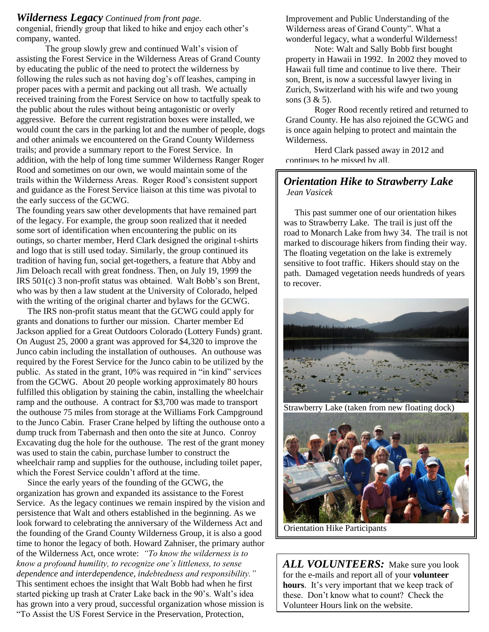#### *Wilderness Legacy Continued from front page.*

congenial, friendly group that liked to hike and enjoy each other's company, wanted.

The group slowly grew and continued Walt's vision of assisting the Forest Service in the Wilderness Areas of Grand County by educating the public of the need to protect the wilderness by following the rules such as not having dog's off leashes, camping in proper paces with a permit and packing out all trash. We actually received training from the Forest Service on how to tactfully speak to the public about the rules without being antagonistic or overly aggressive. Before the current registration boxes were installed, we would count the cars in the parking lot and the number of people, dogs and other animals we encountered on the Grand County Wilderness trails; and provide a summary report to the Forest Service. In addition, with the help of long time summer Wilderness Ranger Roger Rood and sometimes on our own, we would maintain some of the trails within the Wilderness Areas. Roger Rood's consistent support and guidance as the Forest Service liaison at this time was pivotal to the early success of the GCWG.

The founding years saw other developments that have remained part of the legacy. For example, the group soon realized that it needed some sort of identification when encountering the public on its outings, so charter member, Herd Clark designed the original t-shirts and logo that is still used today. Similarly, the group continued its tradition of having fun, social get-togethers, a feature that Abby and Jim Deloach recall with great fondness. Then, on July 19, 1999 the IRS 501(c) 3 non-profit status was obtained. Walt Bobb's son Brent, who was by then a law student at the University of Colorado, helped with the writing of the original charter and bylaws for the GCWG.

 The IRS non-profit status meant that the GCWG could apply for grants and donations to further our mission. Charter member Ed Jackson applied for a Great Outdoors Colorado (Lottery Funds) grant. On August 25, 2000 a grant was approved for \$4,320 to improve the Junco cabin including the installation of outhouses. An outhouse was required by the Forest Service for the Junco cabin to be utilized by the public. As stated in the grant, 10% was required in "in kind" services from the GCWG. About 20 people working approximately 80 hours fulfilled this obligation by staining the cabin, installing the wheelchair ramp and the outhouse. A contract for \$3,700 was made to transport the outhouse 75 miles from storage at the Williams Fork Campground to the Junco Cabin. Fraser Crane helped by lifting the outhouse onto a dump truck from Tabernash and then onto the site at Junco. Conroy Excavating dug the hole for the outhouse. The rest of the grant money was used to stain the cabin, purchase lumber to construct the wheelchair ramp and supplies for the outhouse, including toilet paper, which the Forest Service couldn't afford at the time.

 Since the early years of the founding of the GCWG, the organization has grown and expanded its assistance to the Forest Service. As the legacy continues we remain inspired by the vision and persistence that Walt and others established in the beginning. As we look forward to celebrating the anniversary of the Wilderness Act and the founding of the Grand County Wilderness Group, it is also a good time to honor the legacy of both. Howard Zahniser, the primary author of the Wilderness Act, once wrote: *"To know the wilderness is to know a profound humility, to recognize one's littleness, to sense dependence and interdependence, indebtedness and responsibility."* This sentiment echoes the insight that Walt Bobb had when he first started picking up trash at Crater Lake back in the 90's. Walt's idea has grown into a very proud, successful organization whose mission is "To Assist the US Forest Service in the Preservation, Protection,

Improvement and Public Understanding of the Wilderness areas of Grand County". What a wonderful legacy, what a wonderful Wilderness!

Note: Walt and Sally Bobb first bought property in Hawaii in 1992. In 2002 they moved to Hawaii full time and continue to live there. Their son, Brent, is now a successful lawyer living in Zurich, Switzerland with his wife and two young sons (3 & 5).

Roger Rood recently retired and returned to Grand County. He has also rejoined the GCWG and is once again helping to protect and maintain the Wilderness.

Herd Clark passed away in 2012 and continues to be missed by all.

## *Orientation Hike to Strawberry Lake Jean Vasicek*

 This past summer one of our orientation hikes was to Strawberry Lake. The trail is just off the road to Monarch Lake from hwy 34. The trail is not marked to discourage hikers from finding their way. The floating vegetation on the lake is extremely sensitive to foot traffic. Hikers should stay on the path. Damaged vegetation needs hundreds of years to recover.



Strawberry Lake (taken from new floating dock)



Orientation Hike Participants

*ALL VOLUNTEERS:*Make sure you look for the e-mails and report all of your **volunteer hours**. It's very important that we keep track of these. Don't know what to count? Check the Volunteer Hours link on the website.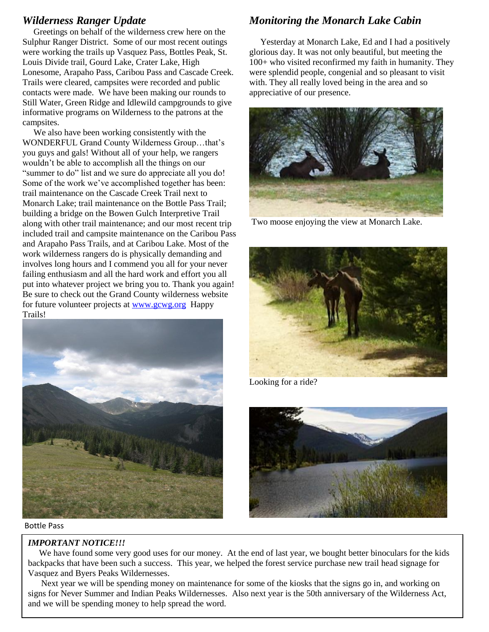## *Wilderness Ranger Update*

 Greetings on behalf of the wilderness crew here on the Sulphur Ranger District. Some of our most recent outings were working the trails up Vasquez Pass, Bottles Peak, St. Louis Divide trail, Gourd Lake, Crater Lake, High Lonesome, Arapaho Pass, Caribou Pass and Cascade Creek. Trails were cleared, campsites were recorded and public contacts were made. We have been making our rounds to Still Water, Green Ridge and Idlewild campgrounds to give informative programs on Wilderness to the patrons at the campsites.

 We also have been working consistently with the WONDERFUL Grand County Wilderness Group…that's you guys and gals! Without all of your help, we rangers wouldn't be able to accomplish all the things on our "summer to do" list and we sure do appreciate all you do! Some of the work we've accomplished together has been: trail maintenance on the Cascade Creek Trail next to Monarch Lake; trail maintenance on the Bottle Pass Trail; building a bridge on the Bowen Gulch Interpretive Trail along with other trail maintenance; and our most recent trip included trail and campsite maintenance on the Caribou Pass and Arapaho Pass Trails, and at Caribou Lake. Most of the work wilderness rangers do is physically demanding and involves long hours and I commend you all for your never failing enthusiasm and all the hard work and effort you all put into whatever project we bring you to. Thank you again! Be sure to check out the Grand County wilderness website for future volunteer projects at [www.gcwg.org](http://www.gcwg.org/) Happy Trails!



Bottle Pass

#### *IMPORTANT NOTICE!!!*

## *Monitoring the Monarch Lake Cabin*

 Yesterday at Monarch Lake, Ed and I had a positively glorious day. It was not only beautiful, but meeting the 100+ who visited reconfirmed my faith in humanity. They were splendid people, congenial and so pleasant to visit with. They all really loved being in the area and so appreciative of our presence.



Two moose enjoying the view at Monarch Lake.



Looking for a ride?



 We have found some very good uses for our money. At the end of last year, we bought better binoculars for the kids backpacks that have been such a success. This year, we helped the forest service purchase new trail head signage for Vasquez and Byers Peaks Wildernesses.

 Next year we will be spending money on maintenance for some of the kiosks that the signs go in, and working on signs for Never Summer and Indian Peaks Wildernesses. Also next year is the 50th anniversary of the Wilderness Act, and we will be spending money to help spread the word.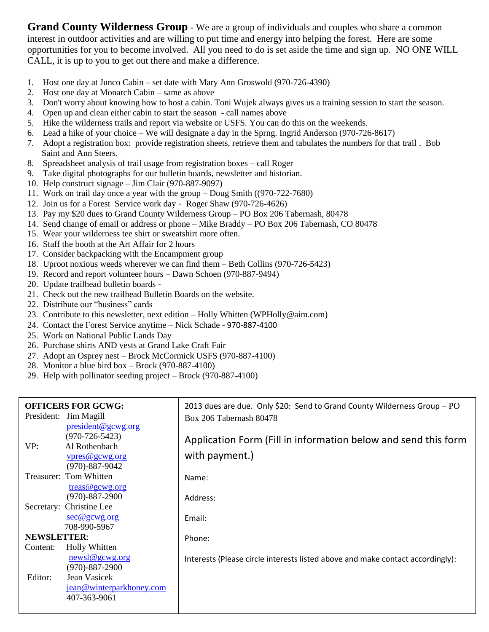**Grand County Wilderness Group** - We are a group of individuals and couples who share a common interest in outdoor activities and are willing to put time and energy into helping the forest. Here are some opportunities for you to become involved. All you need to do is set aside the time and sign up. NO ONE WILL CALL, it is up to you to get out there and make a difference.

- 1. Host one day at Junco Cabin set date with Mary Ann Groswold (970-726-4390)
- 2. Host one day at Monarch Cabin same as above
- 3. Don't worry about knowing how to host a cabin. Toni Wujek always gives us a training session to start the season.
- 4. Open up and clean either cabin to start the season call names above
- 5. Hike the wilderness trails and report via website or USFS. You can do this on the weekends.
- 6. Lead a hike of your choice We will designate a day in the Sprng. Ingrid Anderson (970-726-8617)
- 7. Adopt a registration box: provide registration sheets, retrieve them and tabulates the numbers for that trail . Bob Saint and Ann Steers.
- 8. Spreadsheet analysis of trail usage from registration boxes call Roger
- 9. Take digital photographs for our bulletin boards, newsletter and historian.
- 10. Help construct signage Jim Clair (970-887-9097)
- 11. Work on trail day once a year with the group Doug Smith ((970-722-7680)
- 12. Join us for a Forest Service work day Roger Shaw (970-726-4626)
- 13. Pay my \$20 dues to Grand County Wilderness Group PO Box 206 Tabernash, 80478
- 14. Send change of email or address or phone Mike Braddy PO Box 206 Tabernash, CO 80478
- 15. Wear your wilderness tee shirt or sweatshirt more often.
- 16. Staff the booth at the Art Affair for 2 hours
- 17. Consider backpacking with the Encampment group
- 18. Uproot noxious weeds wherever we can find them Beth Collins (970-726-5423)
- 19. Record and report volunteer hours Dawn Schoen (970-887-9494)
- 20. Update trailhead bulletin boards -
- 21. Check out the new trailhead Bulletin Boards on the website.
- 22. Distribute our "business" cards
- 23. Contribute to this newsletter, next edition Holly Whitten (WPHolly@aim.com)
- 24. Contact the Forest Service anytime Nick Schade 970-887-4100
- 25. Work on National Public Lands Day
- 26. Purchase shirts AND vests at Grand Lake Craft Fair
- 27. Adopt an Osprey nest Brock McCormick USFS (970-887-4100)
- 28. Monitor a blue bird box Brock (970-887-4100)
- 29. Help with pollinator seeding project Brock (970-887-4100)

#### 2013 dues are due. Only \$20: Send to Grand County Wilderness Group – PO Box 206 Tabernash 80478 Application Form (Fill in information below and send this form with payment.) Name: Address: Email: Phone: Interests (Please circle interests listed above and make contact accordingly): **OFFICERS FOR GCWG:** President: Jim Magill [president@gcwg.org](mailto:president@gcwg.org) (970-726-5423)<br>VP: Al Rothenbach Al Rothenbach [vpres@gcwg.org](mailto:vpres@gcwg.org) (970)-887-9042 Treasurer: Tom Whitten [treas@gcwg.org](mailto:treas@gcwg.org) (970)-887-2900 Secretary: Christine Lee [sec@gcwg.org](mailto:sec@gcwg.org) 708-990-5967 **NEWSLETTER**: Content: Holly Whitten [newsl@gcwg.org](mailto:newsl@gcwg.org)  (970)-887-2900 Editor: Jean Vasicek [jean@winterparkhoney.com](mailto:jean@winterparkhoney.com) 407-363-9061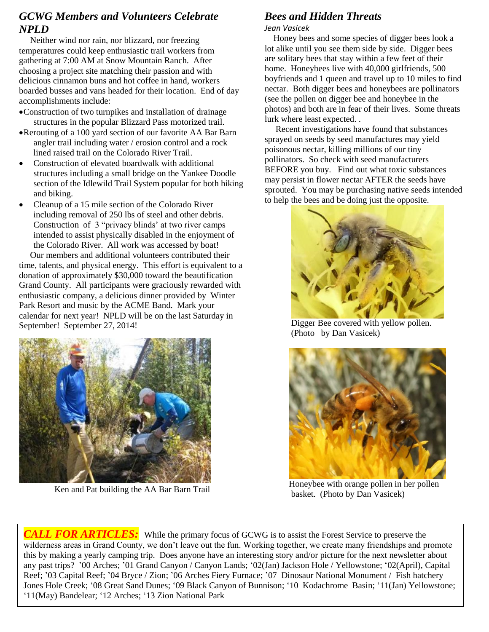## *GCWG Members and Volunteers Celebrate NPLD*

 Neither wind nor rain, nor blizzard, nor freezing temperatures could keep enthusiastic trail workers from gathering at 7:00 AM at Snow Mountain Ranch. After choosing a project site matching their passion and with delicious cinnamon buns and hot coffee in hand, workers boarded busses and vans headed for their location. End of day accomplishments include:

- Construction of two turnpikes and installation of drainage structures in the popular Blizzard Pass motorized trail.
- Rerouting of a 100 yard section of our favorite AA Bar Barn angler trail including water / erosion control and a rock lined raised trail on the Colorado River Trail.
- Construction of elevated boardwalk with additional structures including a small bridge on the Yankee Doodle section of the Idlewild Trail System popular for both hiking and biking.
- Cleanup of a 15 mile section of the Colorado River including removal of 250 lbs of steel and other debris. Construction of 3 "privacy blinds' at two river camps intended to assist physically disabled in the enjoyment of the Colorado River. All work was accessed by boat! Our members and additional volunteers contributed their

time, talents, and physical energy. This effort is equivalent to a donation of approximately \$30,000 toward the beautification Grand County. All participants were graciously rewarded with enthusiastic company, a delicious dinner provided by Winter Park Resort and music by the ACME Band. Mark your calendar for next year! NPLD will be on the last Saturday in September! September 27, 2014!



Ken and Pat building the AA Bar Barn Trail

## *Bees and Hidden Threats*

### *Jean Vasicek*

 Honey bees and some species of digger bees look a lot alike until you see them side by side. Digger bees are solitary bees that stay within a few feet of their home. Honeybees live with 40,000 girlfriends, 500 boyfriends and 1 queen and travel up to 10 miles to find nectar. Both digger bees and honeybees are pollinators (see the pollen on digger bee and honeybee in the photos) and both are in fear of their lives. Some threats lurk where least expected. .

 Recent investigations have found that substances sprayed on seeds by seed manufactures may yield poisonous nectar, killing millions of our tiny pollinators. So check with seed manufacturers BEFORE you buy. Find out what toxic substances may persist in flower nectar AFTER the seeds have sprouted. You may be purchasing native seeds intended to help the bees and be doing just the opposite.



 Digger Bee covered with yellow pollen. (Photo by Dan Vasicek)



 Honeybee with orange pollen in her pollen basket. (Photo by Dan Vasicek)

*CALL FOR ARTICLES:* While the primary focus of GCWG is to assist the Forest Service to preserve the wilderness areas in Grand County, we don't leave out the fun. Working together, we create many friendships and promote this by making a yearly camping trip. Does anyone have an interesting story and/or picture for the next newsletter about any past trips? '00 Arches; '01 Grand Canyon / Canyon Lands; '02(Jan) Jackson Hole / Yellowstone; '02(April), Capital Reef; '03 Capital Reef; '04 Bryce / Zion; '06 Arches Fiery Furnace; '07 Dinosaur National Monument / Fish hatchery Jones Hole Creek; '08 Great Sand Dunes; '09 Black Canyon of Bunnison; '10 Kodachrome Basin; '11(Jan) Yellowstone; '11(May) Bandelear; '12 Arches; '13 Zion National Park